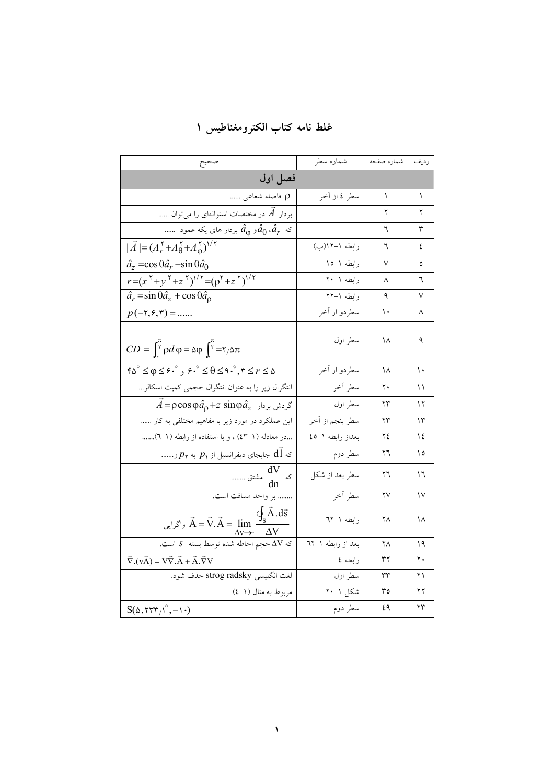| صحيح                                                                                                                                                                                                    | شماره سطر         | رديف   شماره صفحه |    |
|---------------------------------------------------------------------------------------------------------------------------------------------------------------------------------------------------------|-------------------|-------------------|----|
| فصل اول                                                                                                                                                                                                 |                   |                   |    |
| p فاصله شعاعی                                                                                                                                                                                           | سطر ٤ از آخر      | ١                 | ١  |
| بردار $\overline{A}$ در مختصات استوانهای را میتوان                                                                                                                                                      |                   | ۲                 | ۲  |
| س بردار های یکه عمود $\hat{a}_{\rm o}$ بردار های یکه عمود $\hat{a}_r$                                                                                                                                   |                   | ٦                 | ٣  |
| $ \vec{A}  = (A_r^{\tau} + A_\theta^{\tau} + A_\phi^{\tau})^{1/\tau}$                                                                                                                                   | رابطه ١-١٢(ب)     | ٦                 | ٤  |
| $\hat{a}_z = \cos \theta \hat{a}_r - \sin \theta \hat{a}_\theta$                                                                                                                                        | رابطه ١-١٥        | V                 | ٥  |
| $r = (x^{\tau} + y^{\tau} + z^{\tau})^{1/\tau} = (\rho^{\tau} + z^{\tau})^{1/\tau}$                                                                                                                     | رابطه ١-٢٠        | ٨                 | ٦  |
| $\hat{a}_r = \sin \theta \hat{a}_z + \cos \theta \hat{a}_\rho$                                                                                                                                          | رابطه ١-٢٢        | ٩                 | ٧  |
| $p(-\tau,\xi,\tau) = $                                                                                                                                                                                  | سطردو از آخر      | ١.                | ٨  |
| $CD = \int_{\tau}^{\pi} \rho d\varphi = \Delta \varphi \int_{\tau}^{\pi} = \tau / \Delta \pi$                                                                                                           | سطر اول           | ۱۸                | ٩  |
| $\mathfrak{r}\Delta^{\circ} \leq \varphi \leq \mathfrak{r} \cdot \mathfrak{p}$ , $\mathfrak{r} \cdot \mathfrak{p} \leq \theta \leq \mathfrak{q} \cdot \mathfrak{p}$ , $\mathfrak{r} \leq r \leq \Delta$ | سطردو از آخر      | ۱۸                | ۱۰ |
| انتگرال زیر را به عنوان انتگرال حجمی کمیت اسکالر                                                                                                                                                        | سطر آخر           | ٢٠                | ۱۱ |
| $\vec{A}$ = $\rho \cos \varphi \hat{a}_{\rho} + z \sin \varphi \hat{a}_{z}$ گردش بردار                                                                                                                  | سطر اول           | ۲۳                | ۱۲ |
| این عملکرد در مورد زیر با مفاهیم مختلفی به کار                                                                                                                                                          | سطر پنجم از آخر   | ۲۳                | ۱۳ |
| در معادله (١-٤٣) ، و با استفاده از رابطه (١-٦)                                                                                                                                                          | بعداز رابطه ١-٤٥  | ۲٤                | ١٤ |
| که $d\,$ ا جابجای دیفرانسیل از $p_{\gamma}$ به $p_{\gamma}$ و……                                                                                                                                         | سطر دوم           | ٢٦                | ۱٥ |
| که $\frac{dV}{d\tau}$ مشتق                                                                                                                                                                              | سطر بعد از شکل    | ۲٦                | ۱٦ |
| بر واحد مسافت است.                                                                                                                                                                                      | سطر أخر           | ۲۷                | ۱۷ |
| $\overline{q}_s \overline{A}.\overline{d\overline{s}}$<br>واگرایی $\vec{A} = \vec{\nabla} . \vec{A} = \lim$ .<br>$\Delta V$<br>$\Delta v \rightarrow$                                                   | رابطه ١-٦٢        | ۲۸                | ۱۸ |
| که $\Delta \mathrm{V} \ll 1$ حجم احاطه شده توسط بسته $\Delta \mathrm{V}$ است.                                                                                                                           | بعد از رابطه ١–٦٢ | ۲۸                | ۱۹ |
| $\vec{\nabla} .(\vec{A}) = \vec{V} \cdot \vec{A} + \vec{A} . \vec{\nabla} V$                                                                                                                            | رابطه ٤           | ٣٢                | ٢٠ |
| لغت انگلیسی strog radsky حذف شود.                                                                                                                                                                       | سطر اول           | ٣٣                | ۲۱ |
| مربوط به مثال (١-٤).                                                                                                                                                                                    | شکل ۱–۲۰          | ٣٥                | ۲۲ |
| $S(\Delta, TTT/\degree, -1 \cdot)$                                                                                                                                                                      | سطر دوم           | ٤٩                | ۲۳ |

غلط نامه كتاب الكترومغناطيس ١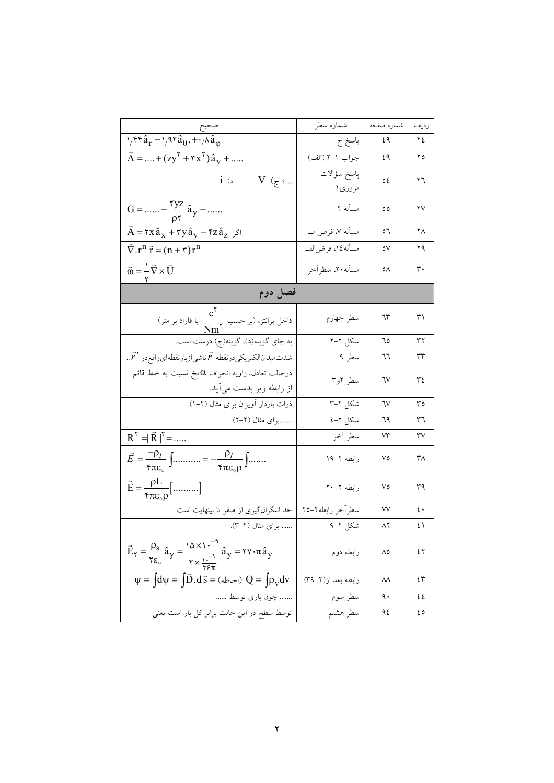|                                                                                                                                                                                                          | شماره سطر              | شماره صفحه     | رديف                   |
|----------------------------------------------------------------------------------------------------------------------------------------------------------------------------------------------------------|------------------------|----------------|------------------------|
| $\frac{1/f\mathfrak{r}\hat{a}_r - 1/2\mathfrak{r}\hat{a}_\theta + \gamma\lambda\hat{a}_\phi}{1/f\mathfrak{r}\hat{a}_r - 1/2\mathfrak{r}\hat{a}_\theta + \gamma\lambda\hat{a}_\phi}$                      | پاسخ ج                 | ٤٩             | ٢٤                     |
| $\vec{A}$ =  + (zy <sup>r</sup> + $rx$ <sup>r</sup> ) $\hat{a}_y$ +                                                                                                                                      | جواب ١–٢ (الف)         | ٤٩             | ۲٥                     |
| $i$ $\circ$<br>؛ ج)   V  (                                                                                                                                                                               | پاسخ سؤالات<br>مروري ا | ٥٤             | ٢٦                     |
| $G =  + \frac{yz}{\rho r} \hat{a}_y + $                                                                                                                                                                  | مسأله ۲                | ٥٥             | ۲۷                     |
| $\vec{A}$ = $\tau x \hat{a}_x + \tau y \hat{a}_y - \tau z \hat{a}_z$ $\sqrt{s}$                                                                                                                          | مسأله ۷، فرض ب         | ٥٦             | ۲۸                     |
| $\vec{\nabla} \cdot \mathbf{r}^n \vec{\mathbf{r}} = (\mathbf{n} + \mathbf{r}) \mathbf{r}^n$                                                                                                              | مسأله ١٤، فرضالف       | ٥٧             | ۲۹                     |
| $\vec{\omega} = \frac{1}{\gamma} \vec{\nabla} \times \vec{U}$                                                                                                                                            | مسأله ٢٠، سطراًخر      | ٥٨             | ٣٠                     |
| فصل دوم                                                                                                                                                                                                  |                        |                |                        |
| داخل پرانتز، (بر حسب $\frac{c^\intercal}{N m^\intercal}$ یا فاراد بر متر)                                                                                                                                | سطر چهارم              | ٦٣             | $\uparrow$             |
| به جای گزینه(د)، گزینه(ج) درست است.                                                                                                                                                                      | شکل ۲–۲                | ٦٥             | ٣٢                     |
| شدتمیدانالکتریکیدرنقطه $\vec{r}$ ناشیازبارنقطهایواقعدر $\vec{r}'$                                                                                                                                        | سطر ۹                  | ٦٦             | ٣٣                     |
| درحالت تعادل، زاویه انحراف $\alpha$ نخ نسبت به خط قائم<br>از رابطه زیر بدست می!ید.                                                                                                                       | سطر ۲و۳                | ٦٧             | ٣٤                     |
| ذرات باردار أويزان براى مثال (٢–١).                                                                                                                                                                      | شکل ۲–۳                | ٦٧             | ٣٥                     |
| برای مثال (۲–۲).                                                                                                                                                                                         | شکل ۲–٤                | 79             | ٣٦                     |
| $R^{\gamma} = \mid \vec{R} \mid^{\gamma} = $                                                                                                                                                             |                        | $\vee\uparrow$ | $\mathsf{r}\mathsf{v}$ |
| $\vec{E} = \frac{-\rho_l}{\mathfrak{r}_{\pi \varepsilon_o}} \int \dots \dots \dots = -\frac{\rho_l}{\mathfrak{r}_{\pi \varepsilon_o \rho}} \int \dots \dots$                                             | رابطه ۲–۱۹             | ٧٥             | ٣٨                     |
| $\vec{E} = \frac{\rho L}{\epsilon \pi \epsilon_0 \rho}$ []                                                                                                                                               | رابطه ۲۰–۲۰            | ٧٥             | ٣٩                     |
| حد انتگرالگیری از صفر تا بینهایت است.                                                                                                                                                                    | سطراخر رابطه٢-٢٥       | ٧٧             | ٤٠                     |
| برای مثال (۲–۳).                                                                                                                                                                                         | شکل ۲–۹                | ۸۲             | ٤١                     |
| $\vec{E}_{\Upsilon} = \frac{\rho_s}{\Upsilon \varepsilon_o} \hat{a}_y = \frac{10 \times 1^{-4}}{\Upsilon \times \frac{1}{\Upsilon \varepsilon_{\pi}}} \hat{a}_y = \Upsilon \Upsilon \cdot \pi \hat{a}_y$ | رابطه دوم              | ۸٥             | ٤٢                     |
| $\Psi = \int d\Psi = \int \vec{D} \cdot d\vec{s} = (d\Psi + Q) Q = \int \rho_V dv$                                                                                                                       | رابطه بعد از(۲–۳۹)     | ۸۸             | ٤٣                     |
| چون باری توسط                                                                                                                                                                                            | سطر سوم                | ٩.             | ٤٤                     |
| توسط سطح در این حالت برابر کل بار است یعنی                                                                                                                                                               | سطر هشتم               | ۹٤             | ٤٥                     |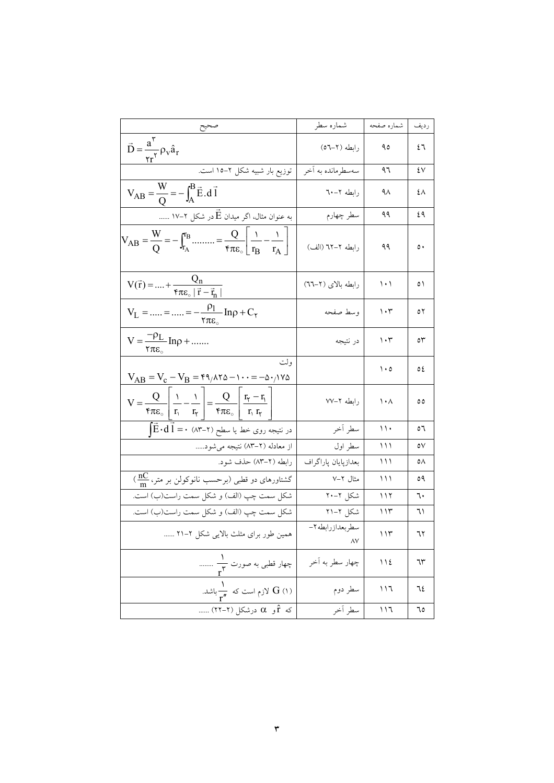|                                                                                                                                                           | شماره سطر             | شماره صفحه                      | رديف         |
|-----------------------------------------------------------------------------------------------------------------------------------------------------------|-----------------------|---------------------------------|--------------|
| $\vec{D} = \frac{\vec{a}^T}{\gamma_T} \rho_V \hat{a}_T$                                                                                                   | رابطه (۲–۵٦)          | ۹٥                              | ٤٦           |
| توزیع بار شبیه شکل ۲–۱۵ است.                                                                                                                              | سەسطرماندە بە أخر     | ۹٦                              | ٤٧           |
| $V_{AB} = \frac{W}{Q} = -\int_{A}^{B} \vec{E} \cdot d\vec{l}$                                                                                             | رابطه ۲–۲۰            | ۹۸                              | ٤٨           |
| به عنوان مثال، اگر میدان $\vec{\mathrm{E}}$ در شکل ۲–۱۷                                                                                                   | سطر چهارم             | ۹۹                              | ٤٩           |
| $V_{AB} = \frac{W}{Q} = -\int_{r_A}^{r_B} \dots \dots = \frac{Q}{r_{AE_{\circ}}} \left[ \frac{1}{r_B} - \frac{1}{r_A} \right]$                            | رابطه ۲–۲۲ (الف)      | ۹۹                              | $\circ$      |
| $V(\vec{r}) =  + \frac{Q_n}{\epsilon \pi \epsilon_0  \vec{r} - \vec{r}_n }$                                                                               | رابطه بالای (۲–٦٦)    | ۱۰۱                             | ٥١           |
| $V_L =  =  = -\frac{\rho_l}{\tau \pi \epsilon_o} \ln \rho + C_{\tau}$                                                                                     | وسط صفحه              | $\mathcal{N} \cdot \mathcal{V}$ | ٥٢           |
| $V = \frac{-\rho_L}{\tau \pi \varepsilon_{\circ}} \ln \rho + \dots$                                                                                       | در نتيجه              | $\mathcal{N}$                   | $\circ \tau$ |
| ولت<br>$V_{AB} = V_c - V_B = r_1 \Delta r_2 - \cdots = -\Delta r_1 V \Delta$                                                                              |                       | $\cdot \circ$                   | ٥٤           |
| $V = \frac{Q}{\tau \pi \epsilon_o} \left  \frac{1}{r_1} - \frac{1}{r_1} \right  = \frac{Q}{\tau \pi \epsilon_o} \left  \frac{r_r - r_1}{r_1 r_r} \right $ | رابطه ۲–۷۷            | ۱۰۸                             | ٥٥           |
| در نتیجه روی خط یا سطح (۲-۸۳) $\vec{E}\cdot d\vec{l} = \vec{E}\cdot d\vec{l}$                                                                             | سطر أخر               | ۱۱۰                             | ٥٦           |
|                                                                                                                                                           | سطر اول               | ۱۱۱                             | ٥٧           |
| رابطه (۲–۸۳) حذف شود.                                                                                                                                     | بعدازپايان پاراگراف   | ۱۱۱                             | ٥٨           |
| $(\frac{{\sf n} {\sf C}}{{\sf m}}$ ، کشتاورهای دو قطبی (برحسب نانوکولن بر متر، ۱۰                                                                         | مثال ۲–۷              | ۱۱۱                             | ٥٩           |
| شکل سمت چپ (الف) و شکل سمت راست(ب) است.                                                                                                                   | شکل ۲–۲۰              | ۱۱۲                             | ٦٠           |
| شکل سمت چپ (الف) و شکل سمت راست(ب) است.<br>-                                                                                                              | شکل ۲–۲۱              | ۱۱۳                             | ٦١           |
| همین طور برای مثلث بالایی شکل ۲–۲۱                                                                                                                        | سطربعدازرابطه٢–<br>٨٧ | ۱۱۳                             | ٦٢           |
|                                                                                                                                                           | چهار سطر به اَخر      | ١١٤                             | ٦٣           |
| جهار قطبی به صورت ۲ <sup>۳</sup><br>ایران G (۱) لازم است که ۳ <sup>۳</sup> باشد.<br>که f و ۵ درشکل (۲-۲۲)                                                 | سطر دوم               | ۱۱٦                             | ٦٤           |
|                                                                                                                                                           | سطر أخر               | ۱۱٦                             | ٦٥           |

 $\mathbf{\breve{r}}$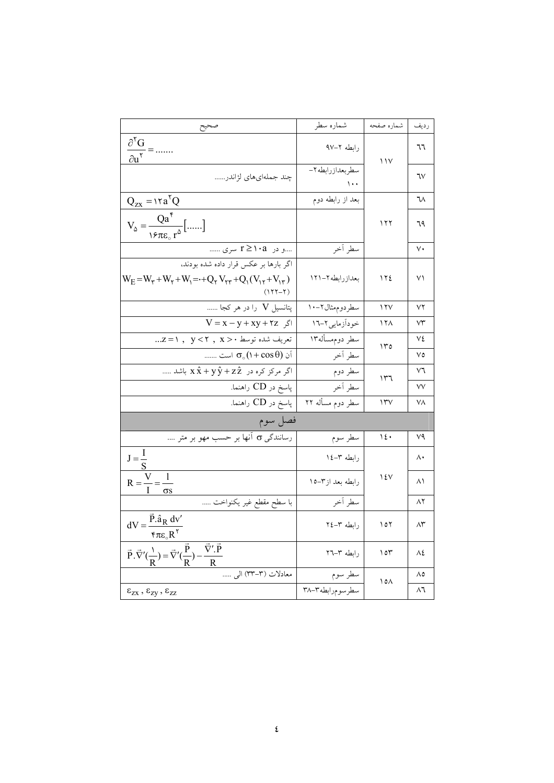|                                                                                                                                                      | شماره سطر                    | شماره صفحه      | رديف |
|------------------------------------------------------------------------------------------------------------------------------------------------------|------------------------------|-----------------|------|
| $\frac{\partial^{\mathbf{v}} \mathbf{G}}{\partial \mathbf{u}^{\mathbf{v}}} =$                                                                        | رابطه ٢–٩٧                   | ۱۱۷             | ٦٦   |
| چند جملەايھاي لژاندر                                                                                                                                 | سطربعدازرابطه ٢-<br>$\cdots$ |                 | ٦٧   |
| $Q_{zx} = \frac{1}{2} \cdot 2$                                                                                                                       | بعد از رابطه دوم             |                 | ٦٨   |
| $V_{\varphi} = \frac{Qa^{\dagger}}{1 \epsilon \pi \epsilon_{\varphi} r^{\varphi}}$ []                                                                |                              | ۱۲۲             | 79   |
| و در   ۲≥۱۰a سری                                                                                                                                     | سطر أخر                      |                 | ٧.   |
| اگر بارها بر عکس قرار داده شده بودند،<br>$W_E = W_\tau + W_\tau + W_\tau = +Q_\tau V_{\tau\tau} + Q_\tau (V_{\tau\tau} + V_{\tau\tau})$<br>$(177-7)$ | بعدازرابطه ٢–١٢١             | ۱۲٤             | ۷۱   |
| پتانسیل V را در هر کجا                                                                                                                               | سطردوم مثال ۲-۱۰             | $\gamma \gamma$ | ۷۲   |
| $V = x - y + xy + rz$ اگر                                                                                                                            | خوداَزمایی۲–۱٦               | ۱۲۸             | ٧٣   |
| تعريف شده توسط ·< x , y < ٢, x                                                                                                                       | سطر دوم.سأله۱۳               | ۱۳٥             | ٧٤   |
| آن ((1 + cos θ) است                                                                                                                                  | سطر آخر                      |                 | ٧٥   |
| اگر مرکز کره در $\hat{\mathrm{x}} + \mathrm{y} \, \hat{\mathrm{y}} + \mathrm{z} \, \hat{\mathrm{z}}$ باشد                                            | سطر دوم                      | ۱۳٦             | ٧٦   |
| پاسخ در CD راهنما.                                                                                                                                   | سطر أخر                      |                 | ٧V   |
| پاسخ در CD راهنما.                                                                                                                                   | سطر دوم مسأله ٢٢             | $\Upsilon$      | ۷۸   |
| فصل سوم                                                                                                                                              |                              |                 |      |
| رسانندگی o آنها بر حسب مهو بر متر ….                                                                                                                 | سطر سوم                      | ۱٤٠             | ٧٩   |
| $J=\frac{1}{I}$                                                                                                                                      | رابطه ۳–۱٤                   |                 | ۸۰   |
| $\mathbf{1}$<br>$R = -$<br>$rac{1}{\sigma s}$                                                                                                        | رابطه بعد از٣–١٥             | ۱٤٧             | ۸۱   |
| با سطح مقطع غیر یکنواخت                                                                                                                              | سطر أخر                      |                 | ۸۲   |
| $dV = \frac{\vec{P} \cdot \hat{a}_R dv'}{\epsilon \pi \epsilon_0 R^{\gamma}}$                                                                        | رابطه ٣-٢٤                   | ۱٥۲             | ۸۳   |
| $\vec{P} \cdot \vec{\nabla}'(\frac{1}{R}) = \vec{\nabla}'(\frac{\vec{P}}{R}) - \frac{\vec{\nabla}' \cdot \vec{P}}{R}$                                | رابطه ٣-٢٦                   | ۱٥٣             | ٨٤   |
| معادلات (٣-٣٣) ال <sub>ى </sub>                                                                                                                      | سطر سوم                      | ۱٥۸             | ٨٥   |
| $\epsilon_{zx}$ , $\epsilon_{zy}$ , $\epsilon_{zz}$                                                                                                  | سطرسومرابطه٣-٣٨              |                 | ۸٦   |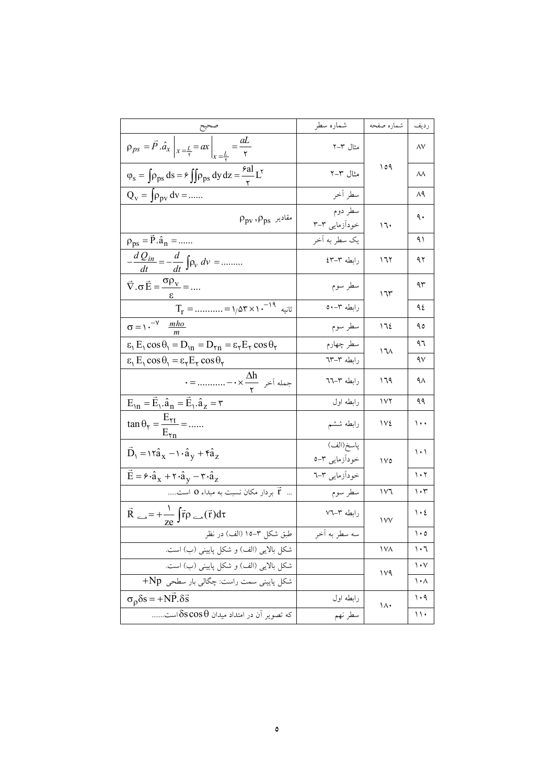|                                                                                                                                               | شماره سطر                  | شماره صفحه     | رديف                            |
|-----------------------------------------------------------------------------------------------------------------------------------------------|----------------------------|----------------|---------------------------------|
| $\rho_{ps} = \vec{P} \cdot \hat{a}_x \bigg _{x = \frac{L}{\tau}} = ax \bigg _{x = \frac{L}{\tau}} = \frac{aL}{\tau}$                          | مثال ۲–۲                   |                | $\wedge\vee$                    |
| $\varphi_{\rm s} = \int \rho_{\rm ps} ds = \epsilon \iint \rho_{\rm ps} dy dz = \frac{\epsilon a I}{r} L^{\nu}$                               | مثال ۳–۲                   | ۱٥۹            | ٨٨                              |
| $Q_V = \int \rho_{pv} dv = $                                                                                                                  | سطر أخر                    |                | ۸۹                              |
| $\rho_{\rm pv}^{}, \rho_{\rm ps}^{}$ مقادیر                                                                                                   | سطر دوم<br>خودآزمایی ۳–۳   | 17.            | ٩.                              |
| $\rho_{ps} = \vec{P} \cdot \hat{a}_n = $                                                                                                      | يک سطر به اَخر             |                | ۹۱                              |
| $-\frac{d Q_{in}}{dt} = -\frac{d}{dt} \int_{\rho_v} dv =$                                                                                     | رابطه ٣-٤٣                 | ۱٦۲            | ۹۲                              |
| $\vec{\nabla} \cdot \sigma \vec{E} = \frac{\sigma \rho_v}{\sigma} = $                                                                         | سطر سوم                    | ۱٦٣            | ۹۳                              |
| $T_r = ---\gamma \Delta \Upsilon \times 1 \cdot^{-14}$ ثانیه                                                                                  | رابطه ٣-٥٠                 |                | ٩٤                              |
| $\sigma = \sqrt{-V}$ $\frac{mho}{m}$                                                                                                          | سطر سوم                    | ١٦٤            | ۹٥                              |
| $\varepsilon$ <sub>1</sub> $E_1 \cos \theta_1 = D_{1n} = D_{1n} = \varepsilon_1 E_1 \cos \theta_1$                                            | سطر چهارم                  | ۱٦٨            | ۹٦                              |
| $\varepsilon_1 E_1 \cos \theta_1 = \varepsilon_7 E_7 \cos \theta_7$                                                                           | رابطه ۳–٦۳                 |                | ٩٧                              |
| $\cdot =$ جمله آخر $\frac{\Delta h}{\Delta t} \rightarrow -$ =                                                                                | رابطه ٣-٦٦                 | ۱٦۹            | ۹۸                              |
| $E_{1n} = \vec{E}_1 \cdot \hat{a}_n = \vec{E}_1 \cdot \hat{a}_z = r$                                                                          | رابطه اول                  | ۱۷۲            | ۹۹                              |
| $\tan \theta_{\tau} = \frac{E_{\tau t}}{E_{\tau n}} = $                                                                                       | رابطه ششم                  | ۱۷٤            | $\cdots$                        |
| $\vec{D}_1 = \alpha x_1 + \hat{a}_y + \hat{a}_z$                                                                                              | پاسخ(الف)<br>خودآزمایی ۳–ه | ١٧٥            | $\backslash \cdot \backslash$   |
| $\vec{E} = \hat{\boldsymbol{\kappa}} \cdot \hat{a}_x + \hat{\boldsymbol{\kappa}} \cdot \hat{a}_y - \hat{\boldsymbol{\kappa}} \cdot \hat{a}_z$ | خودآزمایی ۳–٦              |                | $\mathcal{N} \cdot \mathcal{N}$ |
| $\vec{r}$ بردار مکان نسبت به مبداء 0 است                                                                                                      | سطر سوم                    | ۱۷٦            | ۱۰۳                             |
| $\vec{R}_{\text{max}} = +\frac{1}{ze} \int \vec{r} \rho_{\text{max}}(\vec{r}) d\tau$                                                          | رابطه ۳–۷٦                 | $\sqrt{V}$     | $\mathcal{N} \cdot \mathcal{E}$ |
| طبق شکل ۳–۱۵ (الف) در نظر                                                                                                                     | سه سطر به آخر              |                | ۱۰۵                             |
| شکل بالایی (الف) و شکل پایینی (ب) است.                                                                                                        |                            | <b>IVA</b>     | ۱۰٦                             |
| شکل بالایی (الف) و شکل پایینی (ب) است.                                                                                                        |                            | 1 <sup>V</sup> | $\mathcal{N} \cdot \mathcal{N}$ |
| شکل پایینی سمت راست: چگالی بار سطحی Np+                                                                                                       |                            |                | ۱۰۸                             |
| $\sigma_0 \delta s = +NP \delta \vec{s}$                                                                                                      | رابطه اول                  | $\lambda$      | ۱۰۹                             |
| که تصویر آن در امتداد میدان $\delta s\cos\theta$ است                                                                                          | سطر نهم                    |                | ۱۱۰                             |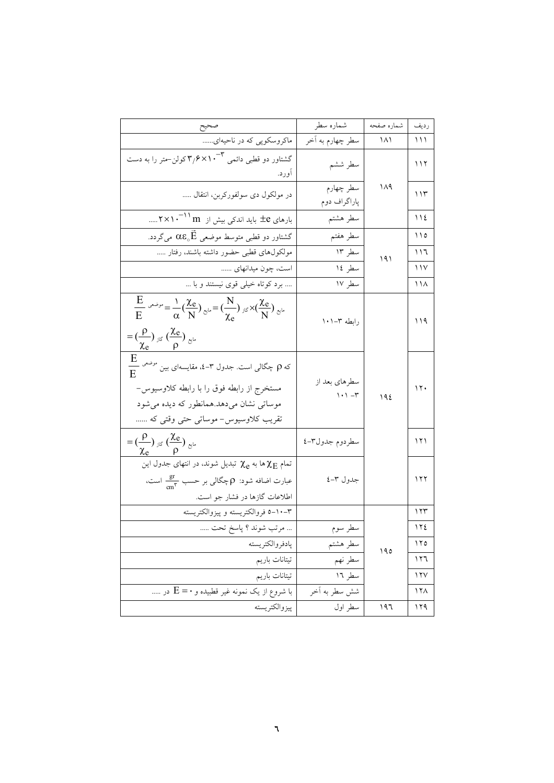| صحيح                                                                                                                                                                                                                                                                                  | شماره سطر                                                   | شماره صفحه       | رديف            |
|---------------------------------------------------------------------------------------------------------------------------------------------------------------------------------------------------------------------------------------------------------------------------------------|-------------------------------------------------------------|------------------|-----------------|
| ماکروسکوپی که در ناحیهای                                                                                                                                                                                                                                                              | سطر چهارم به آخر                                            | $\Lambda\Lambda$ | ۱۱۱             |
| گشتاور دو قطبی دائمی ۳–۲٫۶×۱۰ کولن–متر را به دست<br>اورد.                                                                                                                                                                                                                             | سطر ششم                                                     |                  | ۱۱۲             |
| در مولکول دی سولفورکربن، انتقال                                                                                                                                                                                                                                                       | سطر چهارم<br>پاراگراف دوم                                   | ۱۸۹              | ۱۱۳             |
| بارهای ±e باید اندکی بیش از m ۱ <sup>۰–۲</sup> ×۱۰                                                                                                                                                                                                                                    | سطر هشتم                                                    |                  | $\bigwedge$     |
| گشتاور دو قطبی متوسط موضعی $\vec{\mathrm{E}}$ ه میگردد.                                                                                                                                                                                                                               | سطر هفتم                                                    |                  | ۱۱۵             |
| مولکولهای قطبی حضور داشته باشند، رفتار                                                                                                                                                                                                                                                | سطر ۱۳                                                      | ۱۹۱              | ۱۱٦             |
| است، چون میدانهای                                                                                                                                                                                                                                                                     | سطر ١٤                                                      |                  | ۱۱۷             |
| برد کوتاه خیلی قوی نیستند و با                                                                                                                                                                                                                                                        | سطر ۱۷                                                      |                  | ۱۱۸             |
| $\frac{E}{E}$ $\omega^{2}r = \frac{1}{\alpha} \left( \frac{\chi_e}{N} \right)$ $\omega = \left( \frac{N}{\chi_e} \right)$ $\omega^{1/2} \times \left( \frac{\chi_e}{N} \right)$ $\omega^{1/2}$<br>$= (\frac{\rho}{\rho})_{\text{old}} (\frac{\chi_e}{\rho})_{\text{old}}$<br>$\chi_e$ | رابطه ۰۲–۱۰۱                                                |                  | ۱۱۹             |
| $\frac{\mathrm{E}}{\mathrm{E}}$ که $\rho$ چگالی است. جدول ۳–۰، مقایسهای بین <sup>موضعی</sup><br>مستخرج از رابطه فوق را با رابطه کلاوسیوس-<br>موساتی نشان میدهد.همانطور که دیده میشود<br>تقریب کلاوسیوس- موساتی حتی وقتی که                                                            | سطرهاي بعد از<br>$\backslash \cdot \backslash \lnot \vdash$ | 192              | 11.             |
| $=\left(\frac{\rho}{\rho}\right)_{\aleph}\left(\frac{\chi_{e}}{2}\right)_{\aleph^{\omega}}$                                                                                                                                                                                           | سطردوم جدول٣-٤                                              |                  | 171             |
| تمام $\chi_{\text{E}}$ ها به $\chi_{\text{e}}$ تبدیل شوند، در انتهای جدول این<br>عبارت اضافه شود: p چگالی بر حسب $\frac{\text{gr}}{\text{cm}^{\gamma}}$ است،<br>اطلاعات گازها در فشار جو است.                                                                                         | جدول ۳–٤                                                    |                  | ۱۲۲             |
| ٣-١٠-٥ فروالكتريسته وييزوالكتريسته                                                                                                                                                                                                                                                    |                                                             |                  | ۱۲۳             |
| مرتب شوند ؟ پاسخ تحت                                                                                                                                                                                                                                                                  | سطر سوم                                                     |                  | ١٢٤             |
| پادفروالكتريسته                                                                                                                                                                                                                                                                       | سطر هشتم                                                    | ۱۹٥              | ۱۲٥             |
| تيتانات باريم                                                                                                                                                                                                                                                                         | سطر نهم                                                     |                  | ۱۲٦             |
| تيتانات باريم<br><u>-</u>                                                                                                                                                                                                                                                             | سطر ١٦                                                      |                  | 17V             |
| با شروع از یک نمونه غیر قطبیده و $\rm E = 0$ در                                                                                                                                                                                                                                       | شش سطر به آخر                                               |                  | 17 <sub>A</sub> |
| پيزوالكتريسته                                                                                                                                                                                                                                                                         | سطر اول                                                     | ۱۹٦              | 119             |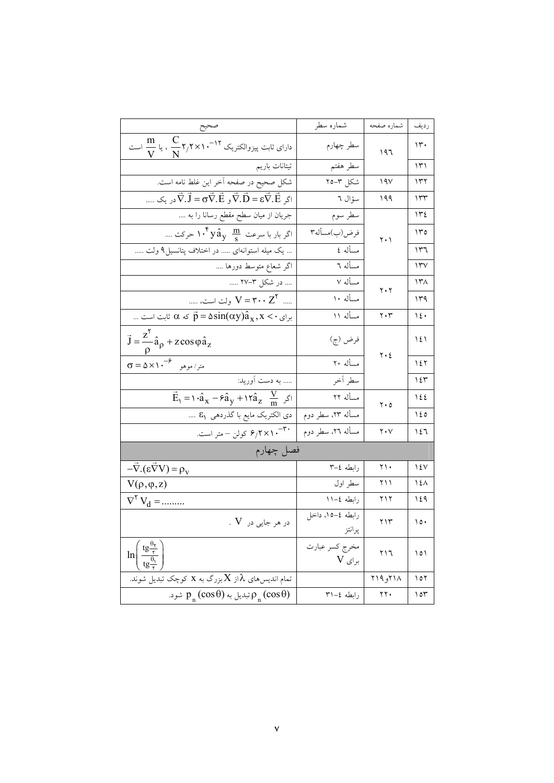|                                                                                                                       | شماره سطر                  | شماره صفحه                    | رديف                |
|-----------------------------------------------------------------------------------------------------------------------|----------------------------|-------------------------------|---------------------|
| $\displaystyle \frac{m}{N}$ دارای ثابت پیزوالکتریک ۲ <sup>۱۲</sup> –۲٫۲ ۲/۲ م آ                                       | سطر چهارم                  | ۱۹٦                           | ۱۳۰                 |
| تيتانات باريم                                                                                                         | سطر هفتم                   |                               | ۱۳۱                 |
| شکل صحیح در صفحه آخر این غلط نامه است.                                                                                | شكل ٣-٢٥                   | ۱۹۷                           | ۱۳۲                 |
| اگر $\vec{\nabla}.\vec{B} = \sigma \vec{\nabla}.\vec{E}$ و $\vec{\nabla}.\vec{B} = \sigma \vec{\nabla}.\vec{E}$ در یک | سؤال ٦                     | ۱۹۹                           | ۱۳۳                 |
| جریان از میان سطح مقطع رسانا را به                                                                                    | سطر سوم                    |                               | ۱۳٤                 |
| اگر بار با سرعت $\hat{\mathbf{g}}_{\mathbf{y}}$ ۰۴ حرکت                                                               | فرض(ب)مسأله٣               | $\mathbf{y} \cdot \mathbf{y}$ | ۱۳٥                 |
| یک میله استوانهای  در اختلاف پتانسیل۹ ولت                                                                             | مسأله ٤                    |                               | ۱۳٦                 |
| اگر شعاع متوسط دورها ….                                                                                               | مسأله ٦                    |                               | $\Upsilon$          |
| در شکل ۳–۲۷                                                                                                           | مسأله ٧                    |                               | ۱۳۸                 |
| ست، $V = \mathbf{r} \cdot \mathbf{z}^{\mathsf{T}}$ ولت است، ……                                                        | مسأله ١٠                   | $\mathbf{y} \cdot \mathbf{y}$ | ۱۳۹                 |
| برای $\hat{p} = \alpha \sin(\alpha y)$ تابت است                                                                       | مسأله ١١                   | $\mathbf{y} \cdot \mathbf{y}$ | ۱٤٠                 |
| $\vec{J} = \frac{z'}{a_{\rho}} \hat{a}_{\rho} + z \cos \varphi \hat{a}_{z}$                                           | فرض (ج)                    | $\mathbf{y} \cdot \mathbf{z}$ | ١٤١                 |
| $\frac{\rho}{\sigma = \Delta \times 1 \cdot^{-\varphi}}$ متر/موهو                                                     | مسأله ۲۰                   |                               | ۱٤۲                 |
| به دست آورید:                                                                                                         | سطر آخر                    |                               | ۱٤٣                 |
| $\vec{E}_1 = \hat{\mathbf{a}}_x - \hat{\mathbf{a}}_y + \hat{\mathbf{a}}_z \frac{\nabla}{m}$ $\vec{E}_1$               | مسأله ٢٢                   | $\mathbf{y} \cdot \mathbf{0}$ | 122                 |
| دى الكتريك مايع با گذردهى ۶ <sub>۱</sub>                                                                              | مسأله ٢٣، سطر دوم          |                               | ١٤٥                 |
| -۳۰- ۶ <sub>/</sub> ۲×۱۰ کولن – متر است.                                                                              | مسأله ٢٦، سطر دوم          | $\mathbf{y} \cdot \mathbf{y}$ | ۱٤٦                 |
| فصل چهارم                                                                                                             |                            |                               |                     |
| $-\vec{\nabla} \cdot (\varepsilon \vec{\nabla} V) = \rho_V$                                                           | رابطه ٤–٣                  | ۲۱۰                           | ۱٤٧                 |
| $V(\rho, \varphi, z)$                                                                                                 | سطر اول                    | ۲۱۱                           | ۱٤۸                 |
| $\nabla^{\dagger} V_d =$                                                                                              | رابطه ٤–١١                 | ۲۱۲                           | ۱٤۹                 |
| $\,$ . $\,\mathrm{V}\,$ در هر جایی در                                                                                 | رابطه ٤–١٥، داخل<br>پرانتز | ۲۱۳                           | $\cdot \circ \cdot$ |
| $\ln \left( \frac{\text{tg} \frac{\text{dy}}{\text{y}}}{\text{tg} \frac{\theta_1}{\text{z}}} \right)$                 | مخرج كسر عبارت<br>برای V   | ۲۱٦                           | ۱٥۱                 |
| تمام اندیس های $\lambda$ از ${\rm X}$ بزرگ به ${\rm x}$ کوچک تبدیل شوند.                                              |                            | ۱۸۲۱۹و ۲۱۹                    | ۱٥۲                 |
| تبدیل به $p_n(\cos\theta)$ شود. $\rho_n(\cos\theta)$                                                                  | رابطه ٤–٣١                 | $\gamma \gamma$ .             | ۱٥۳                 |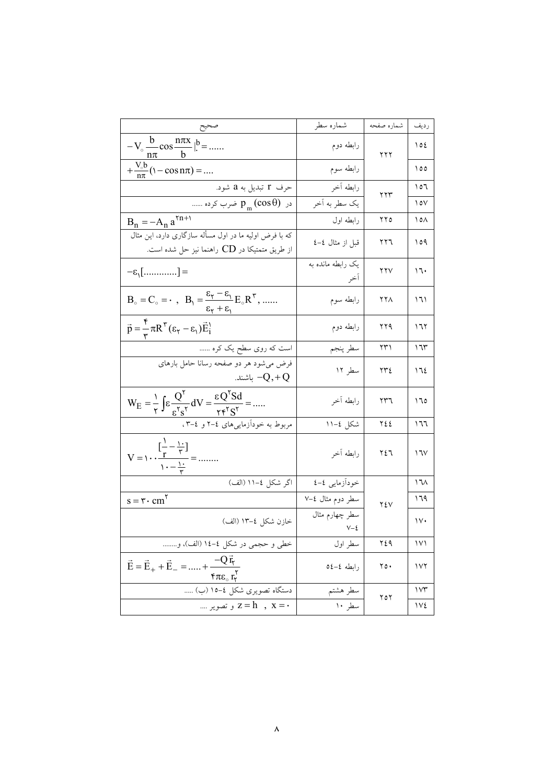|                                                                                                                                                               | شماره سطر                      | شماره صفحه | رديف              |
|---------------------------------------------------------------------------------------------------------------------------------------------------------------|--------------------------------|------------|-------------------|
| $-V_{\circ} \frac{b}{n\pi} \cos \frac{n\pi x}{b}  _{\cdot}^{b} = $                                                                                            | رابطه دوم                      | ۲۲۲        | ۱٥٤               |
| $+\frac{V_{0}b}{n\pi}$ (1 – cos n $\pi$ ) =                                                                                                                   | رابطه سوم                      |            | ۱٥٥               |
| حرف ۲ تبدیل به a شود.                                                                                                                                         | رابطه اخر                      | ۲۲۳        | ۱٥٦               |
| در p <sub>m</sub> (cos  ) ضرب کرده                                                                                                                            | يک سطر به أخر                  |            | ۱٥۷               |
| $B_n = -A_n a^{\gamma n + \gamma}$                                                                                                                            | رابطه اول                      | ۲۲۵        | ۱٥۸               |
| که با فرض اولیه ما در اول مسأله سازگاری دارد، این مثال<br>از طریق متمتیکا در $\rm CD$ راهنما نیز حل شده است.                                                  | قبل از مثال ٤–٤                | ۲۲٦        | ۱٥۹               |
| $=\epsilon_1$ [] =                                                                                                                                            | یک رابطه مانده به              | ۲۲۷        | ۱٦۰               |
| $B_{\circ} = C_{\circ} = \cdot$ , $B_{1} = \frac{\varepsilon_{\tau} - \varepsilon_{1}}{\varepsilon_{\tau} + \varepsilon_{1}} E_{\circ} R^{\tau}$ ,            | رابطه سوم                      | ۲۲۸        | ۱٦۱               |
| $\vec{p} = \frac{\hat{r}}{m} \pi R^{\gamma} (\epsilon_{\gamma} - \epsilon_{\gamma}) \vec{E}_{i}^{\gamma}$                                                     | رابطه دوم                      | ۲۲۹        | ۱٦٢               |
| است که روی سطح یک کره                                                                                                                                         | سطر پنجم                       | ۲۳۱        | ۱٦٣               |
| فرض میشود هر دو صفحه رسانا حامل بارهای<br>باشند. $-\mathrm{Q},+\mathrm{Q}$                                                                                    | سطر ۱۲                         | ۲۳٤        | ۱٦٤               |
| $W_{E} = \frac{1}{\tau} \int \epsilon \frac{Q^{\tau}}{\epsilon^{\tau} s^{\tau}} dV = \frac{\epsilon Q^{\tau} S d}{\tau \epsilon^{\tau} S^{\tau}} = $          | رابطه اخر                      | ۲۳٦        | ۱٦٥               |
| مربوط به خودآزماییهای ٤–٢ و ٤–٣،                                                                                                                              | شکل ٤–١١                       | ٢٤٤        | ۱٦٦               |
| $\left[\frac{1}{\tau}-\frac{1}{\tau}\right]$<br>$V = \sqrt{r} \cdot \frac{r}{\sqrt{r}} = \frac{1}{\sqrt{r}}$                                                  | رابطه أخر                      | ۲٤٦        | 17V               |
| اگر شکل ٤–١١ (الف)                                                                                                                                            | خودأزمايي ٤–٤                  |            | ۱٦٨               |
| $s = r \cdot cm^5$                                                                                                                                            | سطر دوم مثال ٧–٧               | ۲٤۷        | ۱٦۹               |
| خازن شکل ٤–١٣ (الف)                                                                                                                                           | سطر چهارم مثال<br>$V - \xi$    |            | $\vee$            |
| خطي و حجمي در شكل ٤-١٤ (الف)، و                                                                                                                               | سطر اول                        | ٢٤٩        | ۱۷۱               |
| $\vec{E} = \vec{E}_{+} + \vec{E}_{-} =  + \frac{-Q \vec{r}_{+}}{R}$<br>$\underline{\mathfrak{f}}\pi\varepsilon_{\circ}\mathfrak{r}_{\mathsf{r}}^{\mathsf{r}}$ | رابطه ٤-٤٥                     | ۲٥۰        | ۱۷۲               |
| دستگاه تصویری شکل ٤–١٥ (ب)                                                                                                                                    | سطر هشتم                       | ۲٥٢        | $\sqrt{r}$        |
| - z = h , x = .                                                                                                                                               | $\overline{\mathbf{w}}$ سطر ۱۰ |            | $\sqrt{\epsilon}$ |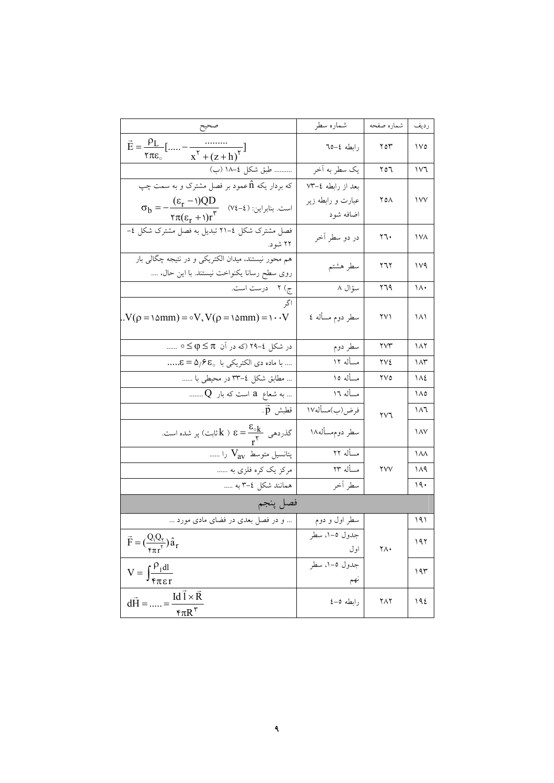|                                                                                                                                                   | شماره سطر                              | شماره صفحه | رديف       |
|---------------------------------------------------------------------------------------------------------------------------------------------------|----------------------------------------|------------|------------|
| $\vec{E} = \frac{\rho_L}{\rho}$ [<br>$\frac{1}{x^{\gamma} + (z+h)^{\gamma}}$<br>۲ $\pi$ ε $_\circ$                                                | رابطه ٤–٦٥                             | ۲٥٣        | $\sqrt{0}$ |
| طبق شكل ٤–١٨ (ب)                                                                                                                                  | يک سطر به اَخر                         | ۲٥٦        | ۱۷٦        |
| که بردار یکه nٌ عمود بر فصل مشترک و به سمت چپ<br>$\sigma_b = -\frac{(\epsilon_r - 1)QD}{\tau \pi (\epsilon_r + 1)r^{\tau}}$ (v٤-٤) است. بنابراین: | بعد از رابطه ٤–٧٣<br>عبارت و رابطه زیر | ۲٥۸        | $\sqrt{V}$ |
|                                                                                                                                                   | اضافه شود                              |            |            |
| فصل مشترک شکل ٤–٢١ تبدیل به فصل مشترک شکل ٤–<br>۲۲ شود.                                                                                           | در دو سطر اخر                          | ۲٦۰        | ۱۷۸        |
| هم محور نیستند، میدان الکتریکی و در نتیجه چگالی بار<br>روی سطح رسانا یکنواخت نیستند. با این حال،<br>.                                             | سطر هشتم                               | ۲٦۲        | ۱۷۹        |
|                                                                                                                                                   | سؤال ۸                                 | ۲٦۹        | ۱۸۰        |
| $.V(\rho = \delta m m) = \delta V, V(\rho = \delta m m) = \delta V$                                                                               | سطر دوم مسأله ٤                        | ۲۷۱        | ۱۸۱        |
| در شکل ٤–۲۹ (که در اَن π ≥ φ ≥ ∘                                                                                                                  | سطر دوم                                | ۲۷۳        | ۱۸۲        |
| با ماده دی الکتریکی با ۴۵٫۶۵ <u>۰ = ۶</u>                                                                                                         | مسأله ١٢                               | ۲۷٤        | ۱۸۳        |
| … مطابق شکل ٤–٣٣ در محیطی با ……                                                                                                                   | مسأله ١٥                               | ۲۷٥        | ۱۸٤        |
| به شعاع  a  است که بار  Q<br>--                                                                                                                   | مسأله ١٦                               |            | ۱۸٥        |
| قطبش p.                                                                                                                                           | فرض(ب)مسأله١٧                          | ۲۷٦        | ۱۸٦        |
| گذرده <sub>ی ک</sub> ه $\frac{\epsilon_{\circ k}}{\mathsf y} = \epsilon \in \mathsf k$ ثابت) پر شده است.                                          | سطر دوم.سأله١٨                         |            | ۱۸۷        |
| پتانسیل متوسط V <sub>av</sub> را                                                                                                                  | مسأله ۲۲                               |            | ۱۸۸        |
|                                                                                                                                                   | مسأله ٢٣                               | ۲۷۷        | ۱۸۹        |
| همانند شکل ٤–٣ به                                                                                                                                 | سطر أخر                                |            | ۱۹۰        |
| فصل پنجم                                                                                                                                          |                                        |            |            |
| و در فصل بعدی در فضای مادی مورد                                                                                                                   | سطر اول و دوم                          |            | ۱۹۱        |
| $\vec{F} = (\frac{Q_1 Q_r}{\epsilon_{\pi r} r}) \hat{a}_r$                                                                                        | جدول ٥–١، سطر<br>اول                   | ٢٨٠        | ۱۹۲        |
| $\mathbf{V} = \int_{\mathfrak{F} \pi \epsilon \mathbf{r}}^{\rho_1 \mathrm{dl}}$                                                                   | جدول ٥–١، سطر<br>ىھم                   |            | ۱۹۳        |
| $Id \vec{l} \times \vec{R}$<br>$d\vec{H} =$ =<br>$\overline{\mathcal{F}}\pi R^{\mathcal{F}}$                                                      | رابطه ٥-٤                              | ۲۸۲        | 192        |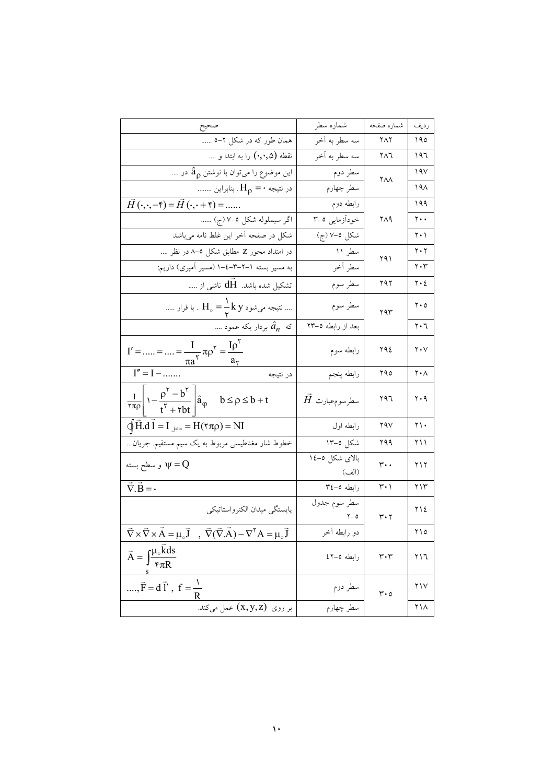|                                                                                                                                                              | شماره سطر               | شماره صفحه                      | رديف                          |
|--------------------------------------------------------------------------------------------------------------------------------------------------------------|-------------------------|---------------------------------|-------------------------------|
| صحيح<br>همان طور که در شکل ۲–۵                                                                                                                               | سه سطر به اخر           | ۲۸۲                             | ۱۹٥                           |
|                                                                                                                                                              | سه سطر به أخر           | ۲۸٦                             | ۱۹٦                           |
| این موضوع را میتوان با نوشتن a <sub>p</sub> در                                                                                                               | سطر دوم                 |                                 | ۱۹۷                           |
| در نتیجه $\mathbf{H}_{\rho} = \mathbf{H}_{\rho}$ . بنابراین                                                                                                  | سطر چهارم               | ۲۸۸                             | ۱۹۸                           |
| $\vec{H}(\cdot,\cdot,-\mathfrak{k}) = \vec{H}(\cdot,\cdot+\mathfrak{k}) = $                                                                                  | رابطه دوم               |                                 | ۱۹۹                           |
| اگر سیملوله شکل ۵-۷ (ج)                                                                                                                                      | خودازمایی ۵–۳           | ۲۸۹                             | ۲۰۰                           |
| شکل در صفحه اخر این غلط نامه م <sub>ی</sub> باشد                                                                                                             | شكل ٥-٧ (ج)             |                                 | ۲۰۱                           |
|                                                                                                                                                              | سطر ۱۱                  |                                 | ۲۰۲                           |
| به مسیر بسته ۱–۲–۳–٤–۱ (مسیر امپری) داریم:                                                                                                                   | سطر أخر                 | ۲۹۱                             | ۲۰۳                           |
| تشکیل شده باشد.  dH ناشی از                                                                                                                                  | سطر سوم                 | ۲۹۲                             | ٢٠٤                           |
| نتیجه میشود $\rm{H}_\circ = \frac{1}{2}k~y$ . با قرار                                                                                                        | سطر سوم                 | ۲۹۳                             | $\mathbf{y} \cdot \mathbf{0}$ |
| که $\hat{a}_n$ بردار یکه عمود ….                                                                                                                             | بعد از رابطه ٥–٢٣       |                                 | ۲۰٦                           |
| $I' =  =  = \frac{I}{\pi a^{\gamma}} \pi \rho^{\gamma} = \frac{I \rho^{\gamma}}{a_{\gamma}}$<br>$I'' = I - $                                                 | رابطه سوم               | ۲۹٤                             | $\mathbf{Y} \cdot \mathbf{V}$ |
| در نتيجه                                                                                                                                                     | رابطه پنجم              | ۲۹٥                             | ۲۰۸                           |
| $\frac{1}{\tau \pi \rho}$ $\left  \gamma - \frac{\rho^{\tau} - b^{\tau}}{t^{\tau} + \tau bt} \right  \hat{a}_{\phi}$ $b \le \rho \le b + t$                  | $\vec{H}$ سطرسومٖعبارت  | ۲۹٦                             | ۲۰۹                           |
| $\oint \vec{H} \cdot d \vec{l} = I_{\downarrow \leq l_2} = H(\tau \pi \rho) = NI$                                                                            | رابطه اول               | ۲۹۷                             | ۲۱۰                           |
| خطوط شار مغناطیسی مربوط به یک سیم مستقیم. جریان                                                                                                              | شکل ٥–۱۳                | ۲۹۹                             | ۱۱ ۲                          |
| و سطح بسته $\psi = Q$                                                                                                                                        | بالای شکل ۵–۱٤<br>(الف) | $\mathfrak{r}\cdot\mathfrak{r}$ | ۲۱۲                           |
| $\vec{\nabla} \cdot \vec{B} = -$                                                                                                                             | رابطه ٥–٣٤              | ۳۰۱                             | ۲۱۳                           |
| پايستگي ميدان الكترواستاتيكي                                                                                                                                 | سطر سوم جدول            | ۳۰۲                             | ٢١٤                           |
| $\vec{\nabla} \times \vec{\nabla} \times \vec{A} = \mu_{\circ} \vec{J}$ , $\vec{\nabla} (\vec{\nabla} . \vec{A}) - \nabla^{\dagger} A = \mu_{\circ} \vec{J}$ | دو رابطه اخر            |                                 | ۲۱۵                           |
| $\vec{A} = \int \frac{\mu_{\circ} \vec{k} ds}{\epsilon \pi R}$                                                                                               | رابطه ٥-٤٢              | $\mathbf{r}\cdot\mathbf{r}$     | ٢١٦                           |
| , $\vec{F} = d\vec{l}'$ , $f = \frac{1}{r}$                                                                                                                  | سطر دوم<br>             | $\mathsf{r}\cdot\mathsf{o}$     | ۲۱۷                           |
| بر روی (x,y,z) عمل میکند.                                                                                                                                    | ۔<br>سطر چهارم          |                                 | ۲۱۸                           |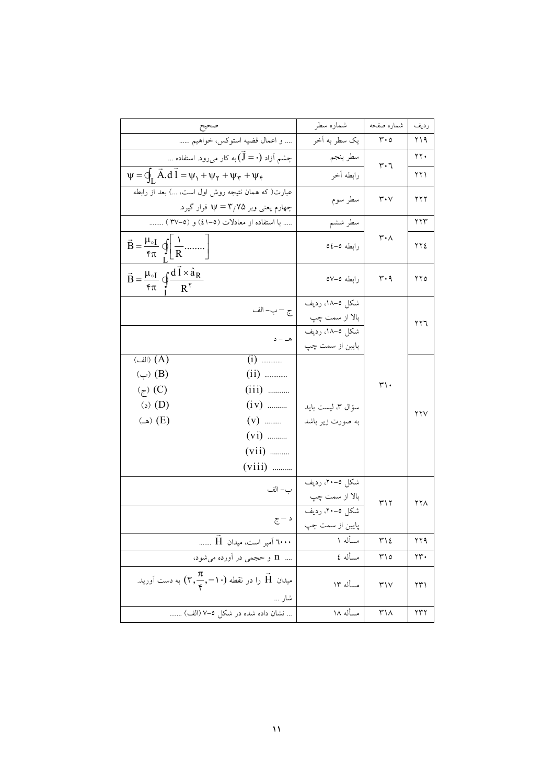|                                                                                             |                                                                                        | شماره سطر         | شماره صفحه                    | رديف |
|---------------------------------------------------------------------------------------------|----------------------------------------------------------------------------------------|-------------------|-------------------------------|------|
|                                                                                             | و اعمال قضيه استوكس، خواهيم                                                            | يک سطر به آخر     | $\mathbf{r} \cdot \mathbf{0}$ | ۲۱۹  |
|                                                                                             | چشم آزاد $(\mathrm{J}=\cdot)$ به کار می $_{\circ}$ ود. استفاده …                       | سطر پنجم          | ٣٠٦                           | ۲۲۰  |
|                                                                                             | $\Psi = \oint_{\mathbf{r}} \vec{A} \cdot d\vec{l} = \psi_1 + \psi_2 + \psi_3 + \psi_4$ | رابطه أخر         |                               | ۲۲۱  |
|                                                                                             | عبارت( که همان نتیجه روش اول است، ) بعد از رابطه                                       | سطر سوم           | ۳۰۷                           | ۲۲۲  |
|                                                                                             | چهارم یعنی وبر γ = ٣ قرار گیرد.                                                        |                   |                               |      |
|                                                                                             | با استفاده از معادلات (٥-٤١) و (٥-٣٧)                                                  | سطر ششم           |                               | ۲۲۳  |
| $\vec{B} = \frac{\mu_{\circ I}}{\tau \pi} \oint_{I} \left[ \frac{1}{R} \dots \dots \right]$ |                                                                                        | رابطه ٥٤-٥٥       | ۳۰۸                           | ۲۲٤  |
| $\vec{B} = \frac{\mu_{\circ I}}{\tau \pi} \oint \frac{d\vec{l} \times \hat{a}_R}{R^{\tau}}$ |                                                                                        | رابطه ٥-٥٧        | $r \cdot q$                   | ۲۲۵  |
|                                                                                             | ج — ب– الف                                                                             | شكل ٥–١٨، رديف    |                               |      |
|                                                                                             |                                                                                        | بالا از سمت چپ    |                               | ۲۲٦  |
|                                                                                             | هــ – د                                                                                | شكل ٥–١٨، رديف    |                               |      |
| $\overline{\overset{\text{(L)}}{\longrightarrow}}(A)$                                       |                                                                                        | پایین از سمت چپ   |                               |      |
| $\left(\rightuplus\right)$ (D)                                                              |                                                                                        |                   |                               |      |
| $(\zeta)$ (C)                                                                               | $(iii)$                                                                                |                   | $\mathsf{r}\mathsf{L}\cdot$   |      |
| $\langle \circ \rangle$ (D)                                                                 | $(iv)$                                                                                 | سؤال ٣، ليست بايد |                               |      |
| $\left( \Box \right)$ (E)                                                                   | $(v)$                                                                                  | به صورت زیر باشد  |                               | ۲۲۷  |
|                                                                                             | $(vi)$                                                                                 |                   |                               |      |
|                                                                                             | $(vii)$                                                                                |                   |                               |      |
|                                                                                             | $(viii)$                                                                               |                   |                               |      |
|                                                                                             |                                                                                        | شکل ٥-۲۰، رديف    |                               |      |
|                                                                                             | ب– الف                                                                                 | بالا از سمت چپ    |                               |      |
|                                                                                             |                                                                                        | شکل ۵–۲۰، ردیف    | ۳۱۲                           | ۲۲۸  |
|                                                                                             | د – ج                                                                                  | پايين از سمت چپ   |                               |      |
|                                                                                             | ٦٠٠٠ اَمپر است، میدان H                                                                | مسأله ۱           | ۳۱٤                           | ۲۲۹  |
|                                                                                             | n و حجمی در آورده میشود،                                                               | مسأله ٤           | ۲۱٥                           | ۲۳۰  |
|                                                                                             | میدان $\vec{H}$ را در نقطه $(\vec{r}, \frac{\pi}{\vec{r}}, -1)$ به دست آورید.<br>شار … | مسأله ١٣          | $\mathsf{r}\mathsf{v}$        | ۲۳۱  |
|                                                                                             | نشان داده شده در شکل ۵–۷ (الف)                                                         | مسأله ١٨          | ۳۱۸                           | ۲۳۲  |
|                                                                                             |                                                                                        |                   |                               |      |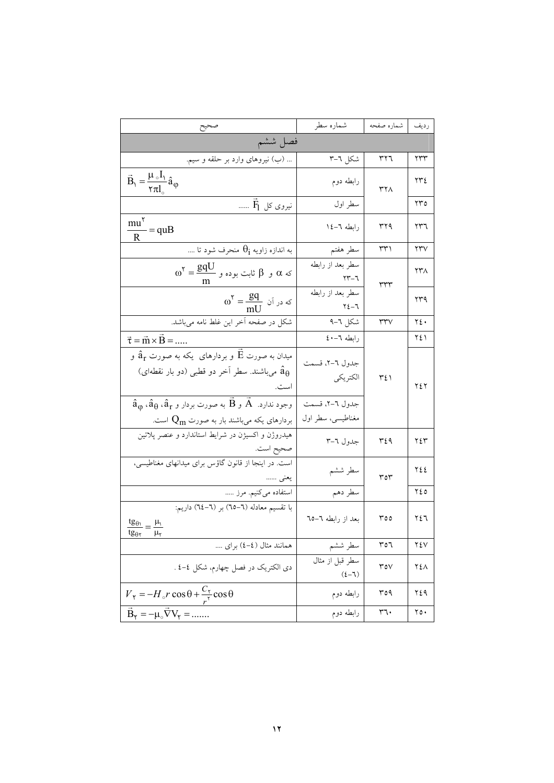|                                                                                                                                                                                                               | شماره سطر                           | شماره صفحه              | رديف                   |
|---------------------------------------------------------------------------------------------------------------------------------------------------------------------------------------------------------------|-------------------------------------|-------------------------|------------------------|
| فصل ششم                                                                                                                                                                                                       |                                     |                         |                        |
| (ب) نیروهای وارد بر حلقه و سیم.                                                                                                                                                                               | شكل ٦–٣                             | ٣٢٦                     | ۲۳۳                    |
| $\vec{B}_1 = \frac{\mu_0 I_1}{\tau \pi I_0} \hat{a}_{\phi}$                                                                                                                                                   | رابطه دوم                           | ۳۲۸                     | ٢٣٤                    |
| $\overline{\mathrm{F}}_1$ نیروی کل $\overline{\mathrm{F}}_1$                                                                                                                                                  | سطر اول                             |                         | ۲۳٥                    |
| $\frac{mu^{\tau}}{R} = quB$                                                                                                                                                                                   | رابطه ٦-١٤                          | ۳۲۹                     | ۲۳٦                    |
| به اندازه زاویه $\theta_{\rm i}$ منحرف شود تا                                                                                                                                                                 | سطر هفتم                            | ۳۳۱                     | $\mathsf{y}\mathsf{y}$ |
| $\omega^{\texttt{Y}}=\frac{gqU}{m}$ که $\alpha$ و $\beta$ ثابت بوده و $\alpha$                                                                                                                                | سطر بعد از رابطه<br>۲۳-٦            | ٣٣٣                     | ۲۳۸                    |
| $\omega^{\texttt{Y}} = \frac{\texttt{g} \texttt{q}}{\text{m} \text{U}}$ که در آن                                                                                                                              | سطر بعد از رابطه<br>2-1             |                         | ۲۳۹                    |
| شکل در صفحه اَخر این غلط نامه میباشد.                                                                                                                                                                         | شكل ٦–٩                             | ٣٣٧                     | ٢٤٠                    |
| $\vec{\tau} = \vec{m} \times \vec{B} =$                                                                                                                                                                       | رابطه ٦-٤٠                          |                         | ۲٤۱                    |
| میدان به صورت $\vec{\rm E}$ و بردارهای یکه به صورت $\hat{\rm a}_{\rm r}$ و<br>میباشند. سطر آخر دو قطبی (دو بار نقطهای) $\hat{a}_\theta$<br>است.                                                               | جدول ٦-٢، قسمت<br>الكتريكي          | ۳٤١                     | ٢٤٢                    |
| $\hat{\rm a}_{\rm p}$ ، $\hat{\rm a}_{\rm \theta}$ ، $\hat{\rm a}_{\rm r}$ و $\bar{\rm B}$ به صورت بردار و $\rm \tilde{A}$ ، $\rm \tilde{A}$<br>بردارهای یکه میباشند بار به صورت $\mathrm{Q}_\mathrm{m}$ است. | جدول ٦-٢، قسمت<br>مغناطیسی، سطر اول |                         |                        |
| هیدروژن و اکسیژن در شرایط استاندارد و عنصر پلاتین<br>صحيح است.                                                                                                                                                | جدول ٦–٣                            | ٣٤٩                     | ٢٤٣                    |
| است. در اینجا از قانون گاؤس برای میدانهای مغناطیسی،<br>يعني ……                                                                                                                                                | سطر ششم                             | ٣٥٣                     | ٢٤٤                    |
| استفاده میکنیم. مرز …                                                                                                                                                                                         | سطر دهم                             |                         | ه ۲٤                   |
| با تقسیم معادله (٦–٦٥) بر (٦–٦٤) داریم:<br>$\frac{\mathrm{tg}_{\theta\mathrm{1}}}{\mathrm{g}_{\theta\mathrm{1}}}=\frac{\mu\mathrm{1}}{\mathrm{g}_{\theta\mathrm{1}}}$<br>tg $_{\theta}$ r<br>$\mu_{\tau}$     | بعد از رابطه ٦–٦٥                   | ٥٥٣                     | ۲٤٦                    |
| همانند مثال (٤-٤) براي                                                                                                                                                                                        | سطر ششم                             | ٣٥٦                     | ۲٤۷                    |
| دی الکتریک در فصل چهارم، شکل ٤-٤ .                                                                                                                                                                            | سطر قبل از مثال<br>$(2-7)$          | $\mathsf{r}\mathsf{ov}$ | ۲٤۸                    |
| $V_r = -H_o r \cos \theta + \frac{C_r}{r^r} \cos \theta$                                                                                                                                                      | رابطه دوم                           | ۳٥۹                     | ۲٤۹                    |
| $\vec{B}_{\gamma} = -\mu_{\circ} \vec{\nabla} V_{\gamma} = $                                                                                                                                                  | رابطه دوم                           | ٣٦٠                     | ۲٥۰                    |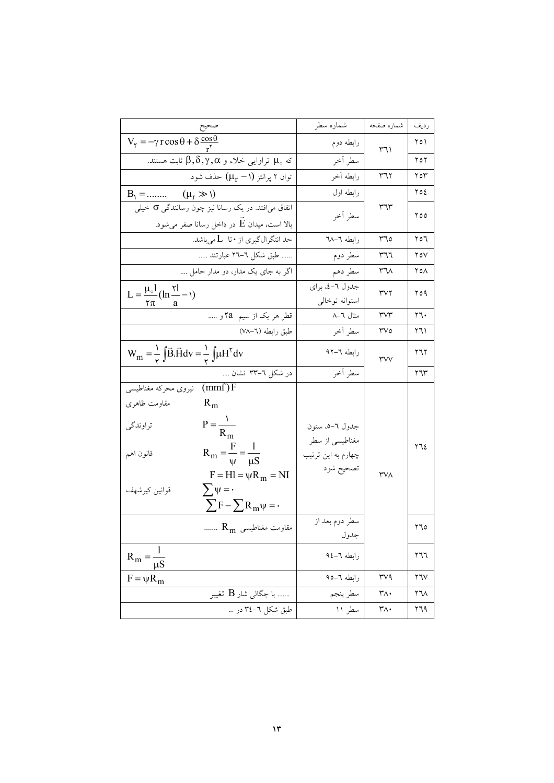|                                                                                                                                                                                                                                                                                                 | شماره سطر                                                                                      | شماره صفحه                       | رديف           |
|-------------------------------------------------------------------------------------------------------------------------------------------------------------------------------------------------------------------------------------------------------------------------------------------------|------------------------------------------------------------------------------------------------|----------------------------------|----------------|
| $V_{\tau} = -\gamma r \cos \theta + \delta \frac{\cos \theta}{r^{\tau}}$                                                                                                                                                                                                                        | رابطه دوم                                                                                      | ۳٦١                              | ۲٥۱            |
| که $\mu_\circ$ تراوایی خلاء و β, $\delta, \gamma, \alpha$ ثابت هستند.                                                                                                                                                                                                                           | سطر آخر                                                                                        |                                  | ۲٥۲            |
| توان ۲ پرانتز $(\mu_r - \mu_r)$ حذف شود.                                                                                                                                                                                                                                                        | رابطه آخر                                                                                      | ۳٦٢                              | ۲٥۳            |
| $B_1 = \dots \dots \dots \quad (\mu_r \gg 1)$                                                                                                                                                                                                                                                   | رابطه اول                                                                                      | ۳٦٣                              | ۲٥٤            |
| اتفاق می افتد. در یک رسانا نیز چون رسانندگی o خیلی                                                                                                                                                                                                                                              | سطر آخر                                                                                        |                                  | ٥٥ ٢           |
| بالا است، میدان $\vec{\mathrm{E}}$ در داخل رسانا صفر میشود.                                                                                                                                                                                                                                     |                                                                                                |                                  |                |
| حد انتگرالگیری از • تا L میباشد.                                                                                                                                                                                                                                                                | رابطه ٦-٦٨                                                                                     | ۳٦٥                              | ۲٥٦            |
| طبق شکل ٦-٢٦ عبارتند                                                                                                                                                                                                                                                                            | سطر دوم                                                                                        | ٣٦٦                              | ۲٥۷            |
| اگر به جای یک مدار، دو مدار حامل                                                                                                                                                                                                                                                                | سطر دهم                                                                                        | ۳٦٨                              | ۲٥۸            |
| $L = \frac{\mu_0 I}{\mu_0 (ln \frac{1}{2} - 1)}$                                                                                                                                                                                                                                                | جدول ٦-٤، براي                                                                                 | ۳۷۲                              | ۲٥۹            |
| ٢π<br>a                                                                                                                                                                                                                                                                                         | استوانه توخالبي                                                                                |                                  |                |
| قطر هر یک از سیم  5 <b>a</b> و                                                                                                                                                                                                                                                                  | مثال ٦–٨                                                                                       | $\mathsf{r}\mathsf{v}\mathsf{r}$ | ۲٦۰            |
| طبق رابطه (٦–٧٨)                                                                                                                                                                                                                                                                                | سطر أخر                                                                                        | ۳۷٥                              | ۲٦۱            |
| $W_m = \frac{1}{r} \int \vec{B} \cdot \vec{H} dv = \frac{1}{r} \int \mu H^{\dagger} dv$                                                                                                                                                                                                         | رابطه ٦–٩٢                                                                                     | ٣v٧                              | ۲٦۲            |
| در شکل ٦–٣٣ نشان                                                                                                                                                                                                                                                                                | سطر أخر                                                                                        |                                  | ۲٦٣            |
| $(mmf)$ F<br>نيروى محركه مغناطيسي<br>مقاومت ظاهرى<br>$R_{m}$<br>$P = \frac{V}{R_m}$<br>تراوندگي<br>$R_m = \frac{F}{\psi} = \frac{1}{\mu S}$<br>قانون اهم<br>$F = Hl = \psi R_m = NI$<br>$\sum \psi = \cdot$<br>قوانين كيرشهف<br>$\sum F - \sum R_m \psi = \cdot$<br>${\rm R_m}$ مقاومت مغناطیسی | جدول ٦-٥، ستون<br>مغناطیسی از سطر<br>چهارم به این ترتیب<br>تصحيح شود<br>سطر دوم بعد از<br>جدول | ۳۷۸                              | ۲٦٤<br>۲٦٥     |
| $R_m = -$<br>$\mu S$                                                                                                                                                                                                                                                                            | رابطه ٦-١٤                                                                                     |                                  | ۲٦٦            |
| $F = \psi R_m$                                                                                                                                                                                                                                                                                  | رابطه ٦–٩٥                                                                                     | $r\vee q$                        | $Y\mathcal{V}$ |
| با چگالی شار $\rm{B}$ تغییر                                                                                                                                                                                                                                                                     | سطر پنجم                                                                                       | ۳۸۰                              | ۲٦۸            |
| طبق شکل ٦-٣٤ در                                                                                                                                                                                                                                                                                 | سطر ۱۱                                                                                         | ۳۸۰                              | ۲٦۹            |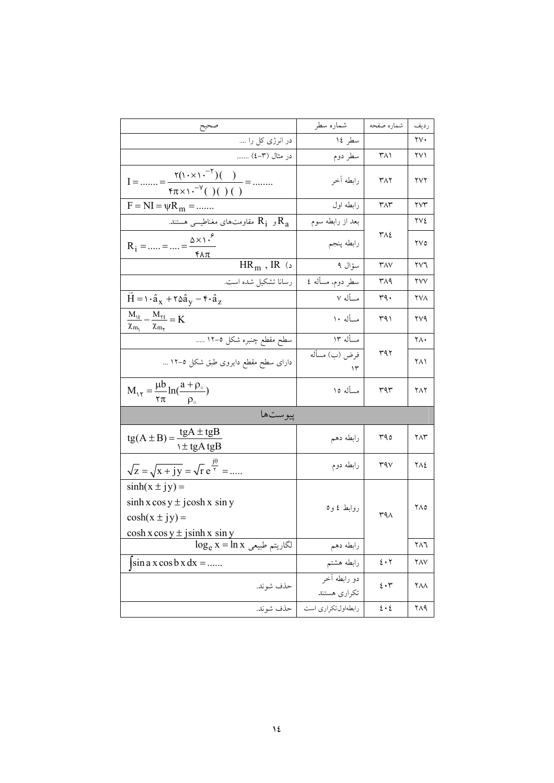|                                                                                                                   | شماره سطر                    | شماره صفحه                     | رديف                 |  |  |
|-------------------------------------------------------------------------------------------------------------------|------------------------------|--------------------------------|----------------------|--|--|
| در انرژی کل را                                                                                                    | سطر ۱٤                       |                                | ۲۷۰                  |  |  |
| در مثال (۳–٤)                                                                                                     | سطر دوم                      | ۳۸۱                            | ۲۷۱                  |  |  |
| $I =  = \frac{\Upsilon(1 + \times 1)^{-\Upsilon}(1)}{2} = $<br>$f\pi \times 1 \cdot V^{-1}(x)$ ( ) ( )            | رابطه أخر                    | ۳۸۲                            | ۲۷۲                  |  |  |
| $F = NI = \psi R_m = $                                                                                            | رابطه اول                    | $\mathsf{r}_\Lambda\mathsf{r}$ | $\gamma\gamma\gamma$ |  |  |
| و $\,{\rm R}_1\,$ مقاومتهای مغناطیسی هستند. $\,{\rm R}_1\,$                                                       | بعد از رابطه سوم             |                                | ۲۷٤                  |  |  |
| $R_1 =  =  = \frac{\Delta \times 1.^{5}}{1}$<br>$f\Lambda\pi$                                                     | رابطه پنجم                   | ۳۸٤                            | ۲۷٥                  |  |  |
| $HR_m$ , IR (د                                                                                                    | سؤال ۹                       | $\mathsf{r}_{\mathsf{AV}}$     | ۲۷٦                  |  |  |
| رسانا تشكيل شده است.                                                                                              | سطر دوم، مسأله ٤             | ۳۸۹                            | ۲۷۷                  |  |  |
| $\vec{H} = \hat{\alpha}_x + \hat{\alpha}_y - \hat{\alpha}_z$                                                      | مسأله ٧                      | ٣٩.                            | ۲۷۸                  |  |  |
| $\frac{M_{\gamma t}}{M} - \frac{M_{\gamma t}}{M} = K$<br>$\chi_{m_{\scriptscriptstyle 1}}$<br>$\chi_{m_\Upsilon}$ | مسأله ١٠                     | ۳۹۱                            | ۲۷۹                  |  |  |
| سطح مقطع چنبره شکل ٥–١٢                                                                                           | مسأله ١٣                     | ۳۹۲                            | ٢٨٠                  |  |  |
| دارای سطح مقطع دایروی طبق شکل ٥–١٢ …                                                                              | فرض (ب) مسأله<br>۱۳          |                                | ۲۸۱                  |  |  |
| $M_{1\tau} = \frac{\mu b}{\tau \pi} \ln(\frac{a + \rho_{0}}{\rho_{0}})$                                           | مسأله ١٥                     | ۳۹۳                            | ۲۸۲                  |  |  |
| ييوستها                                                                                                           |                              |                                |                      |  |  |
| $tg(A \pm B) = \frac{tgA \pm tgB}{\frac{h}{gA}tgA}$                                                               | رابطه دهم                    | ۳۹٥                            | ۲۸۳                  |  |  |
| $\sqrt{z} = \sqrt{x + jy} = \sqrt{r} e^{\frac{j\theta}{r}} = \dots$                                               | رابطه دوم                    | 44V                            | ۲۸٤                  |  |  |
| $sinh(x \pm iy) =$<br>$\sinh x \cos y \pm j \cosh x \sin y$                                                       | روابط ٤ و٥                   |                                | ۲۸٥                  |  |  |
| $\cosh(x \pm iy) =$                                                                                               |                              | $r_1$                          |                      |  |  |
| $\cosh x \cos y \pm j \sinh x \sin y$                                                                             |                              |                                |                      |  |  |
| $\overline{\log_{e} x}$ - الگاريتم طبيعي                                                                          | رابطه دهم                    |                                | ۲۸٦                  |  |  |
| $\sin a \times \cos b \times dx = $                                                                               | رابطه هشتم                   | $\epsilon \cdot r$             | ۲۸۷                  |  |  |
| حذف شوند.                                                                                                         | دو رابطه آخر<br>تكراري هستند | $\epsilon \cdot r$             | ۲۸۸                  |  |  |
| حذف شوند.                                                                                                         | رابطهاول تكراري است          | $\mathbf{\hat{z}\cdot\hat{z}}$ | ۲۸۹                  |  |  |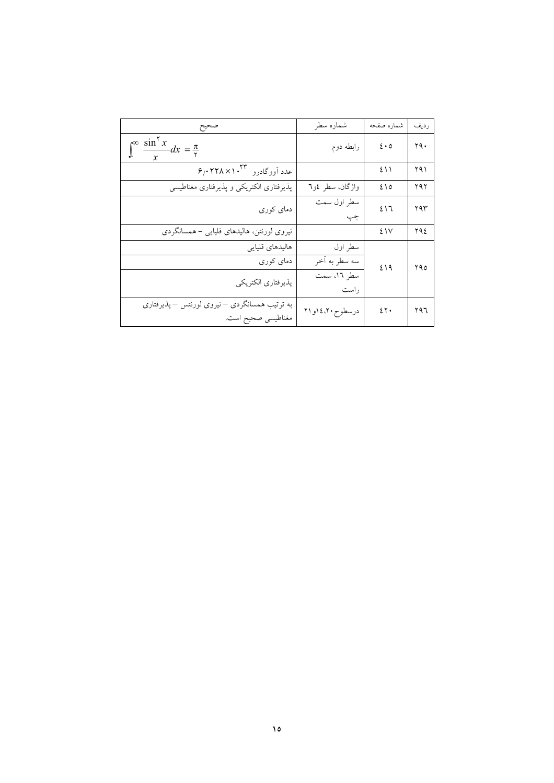| صحيح                                                              | شماره سطر           | شماره صفحه                                     | رديف |
|-------------------------------------------------------------------|---------------------|------------------------------------------------|------|
| $\int_{0}^{\infty} \frac{\sin^{x} x}{x} dx = \frac{\pi}{\tau}$    | رابطه دوم           | $\mathbf{\hat{z}}\boldsymbol{\cdot}\mathbf{o}$ | ۲۹.  |
| $\mathfrak{s}_f$ ، ۶/۰۲۲۸ $\times$ ۱۰ <sup>۳۳</sup> عدد آووگادرو  |                     | ٤١١                                            | ۲۹۱  |
| پذیرفتاری الکتریکی و پذیرفتاری مغناطیسی                           | واژگان، سطر ٤و٦     | ٤١٥                                            | ۲۹۲  |
| دمای کوری                                                         | سطر اول سمت<br>چپ   | 217                                            | ۲۹۳  |
| نیروی لورنتن، هالیدهای قلیایی - همسانگردی                         |                     | ٤١٧                                            | ۲۹٤  |
| هاليدهاي قليايي                                                   | سطر اول             | ٤١٩                                            |      |
| دمای کوری                                                         | سه سطر به آخر       |                                                | ۲۹٥  |
| پذيرفتاري الكتريكي                                                | سطر ١٦، سمت<br>راست |                                                |      |
| به ترتیب همسانگردی —نیروی لورنتس —پذیرفتاری<br>مغناطیسی صحیح است. | درسطوح ٤،٢٠ او ٢١   | $2\gamma$ .                                    | ۲۹٦  |